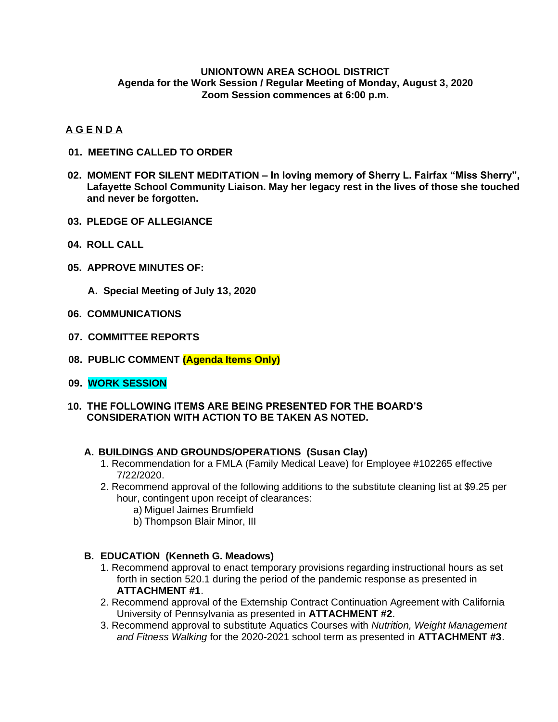### **UNIONTOWN AREA SCHOOL DISTRICT Agenda for the Work Session / Regular Meeting of Monday, August 3, 2020 Zoom Session commences at 6:00 p.m.**

## **A G E N D A**

- **01. MEETING CALLED TO ORDER**
- **02. MOMENT FOR SILENT MEDITATION – In loving memory of Sherry L. Fairfax "Miss Sherry", Lafayette School Community Liaison. May her legacy rest in the lives of those she touched and never be forgotten.**
- **03. PLEDGE OF ALLEGIANCE**
- **04. ROLL CALL**
- **05. APPROVE MINUTES OF:**
	- **A. Special Meeting of July 13, 2020**
- **06. COMMUNICATIONS**
- **07. COMMITTEE REPORTS**
- **08. PUBLIC COMMENT (Agenda Items Only)**
- **09. WORK SESSION**
- **10. THE FOLLOWING ITEMS ARE BEING PRESENTED FOR THE BOARD'S CONSIDERATION WITH ACTION TO BE TAKEN AS NOTED.**

#### **A. BUILDINGS AND GROUNDS/OPERATIONS (Susan Clay)**

- 1. Recommendation for a FMLA (Family Medical Leave) for Employee #102265 effective 7/22/2020.
- 2. Recommend approval of the following additions to the substitute cleaning list at \$9.25 per hour, contingent upon receipt of clearances:
	- a) Miguel Jaimes Brumfield
	- b) Thompson Blair Minor, III

#### **B. EDUCATION (Kenneth G. Meadows)**

- 1. Recommend approval to enact temporary provisions regarding instructional hours as set forth in section 520.1 during the period of the pandemic response as presented in **ATTACHMENT #1**.
- 2. Recommend approval of the Externship Contract Continuation Agreement with California University of Pennsylvania as presented in **ATTACHMENT #2**.
- 3. Recommend approval to substitute Aquatics Courses with *Nutrition, Weight Management and Fitness Walking* for the 2020-2021 school term as presented in **ATTACHMENT #3**.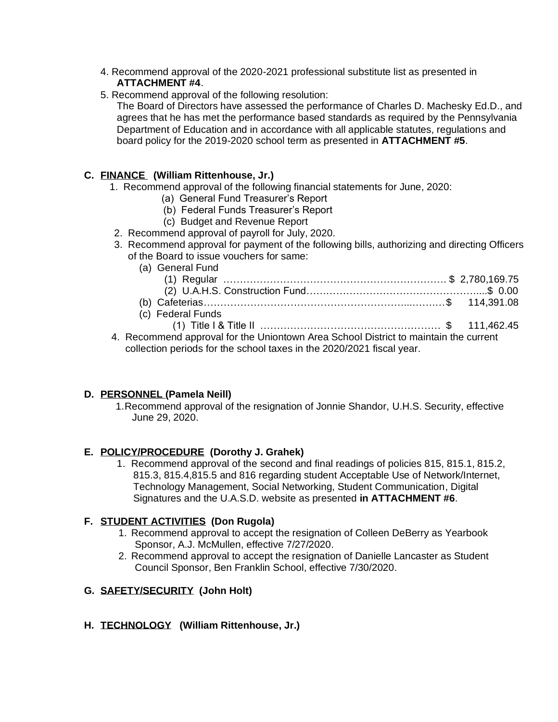- 4. Recommend approval of the 2020-2021 professional substitute list as presented in **ATTACHMENT #4**.
- 5. Recommend approval of the following resolution:

The Board of Directors have assessed the performance of Charles D. Machesky Ed.D., and agrees that he has met the performance based standards as required by the Pennsylvania Department of Education and in accordance with all applicable statutes, regulations and board policy for the 2019-2020 school term as presented in **ATTACHMENT #5**.

# **C. FINANCE (William Rittenhouse, Jr.)**

- 1. Recommend approval of the following financial statements for June, 2020:
	- (a) General Fund Treasurer's Report
	- (b) Federal Funds Treasurer's Report
	- (c) Budget and Revenue Report
- 2. Recommend approval of payroll for July, 2020.
- 3. Recommend approval for payment of the following bills, authorizing and directing Officers of the Board to issue vouchers for same:
	- (a) General Fund

| lal Ocholah unu   |  |
|-------------------|--|
|                   |  |
|                   |  |
|                   |  |
| (c) Federal Funds |  |
|                   |  |

 4. Recommend approval for the Uniontown Area School District to maintain the current collection periods for the school taxes in the 2020/2021 fiscal year.

# **D. PERSONNEL (Pamela Neill)**

1.Recommend approval of the resignation of Jonnie Shandor, U.H.S. Security, effective June 29, 2020.

## **E. POLICY/PROCEDURE (Dorothy J. Grahek)**

1. Recommend approval of the second and final readings of policies 815, 815.1, 815.2, 815.3, 815.4,815.5 and 816 regarding student Acceptable Use of Network/Internet, Technology Management, Social Networking, Student Communication, Digital Signatures and the U.A.S.D. website as presented **in ATTACHMENT #6**.

## **F. STUDENT ACTIVITIES (Don Rugola)**

- 1. Recommend approval to accept the resignation of Colleen DeBerry as Yearbook Sponsor, A.J. McMullen, effective 7/27/2020.
- 2. Recommend approval to accept the resignation of Danielle Lancaster as Student Council Sponsor, Ben Franklin School, effective 7/30/2020.

## **G. SAFETY/SECURITY (John Holt)**

## **H. TECHNOLOGY (William Rittenhouse, Jr.)**